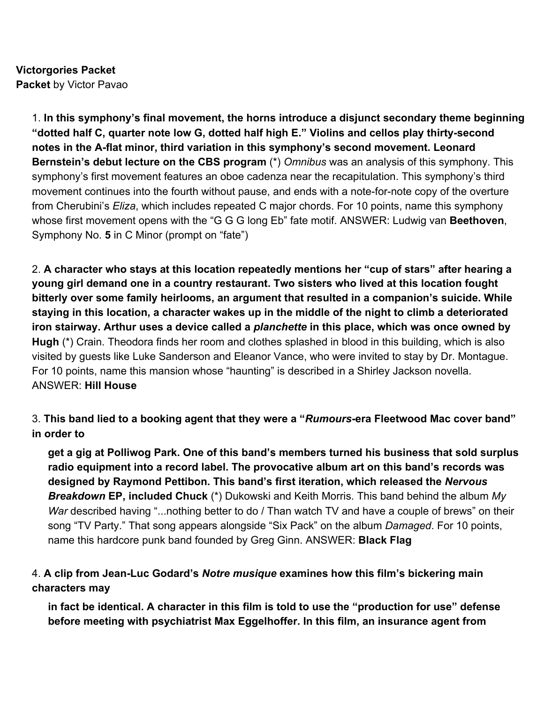**Victorgories Packet Packet** by Victor Pavao

> 1. **In this symphony's final movement, the horns introduce a disjunct secondary theme beginning "dotted half C, quarter note low G, dotted half high E." Violins and cellos play thirty-second notes in the A-flat minor, third variation in this symphony's second movement. Leonard Bernstein's debut lecture on the CBS program** (\*) *Omnibus* was an analysis of this symphony. This symphony's first movement features an oboe cadenza near the recapitulation. This symphony's third movement continues into the fourth without pause, and ends with a note-for-note copy of the overture from Cherubini's *Eliza*, which includes repeated C major chords. For 10 points, name this symphony whose first movement opens with the "G G G long Eb" fate motif. ANSWER: Ludwig van **Beethoven**, Symphony No. **5** in C Minor (prompt on "fate")

2. **A character who stays at this location repeatedly mentions her "cup of stars" after hearing a young girl demand one in a country restaurant. Two sisters who lived at this location fought bitterly over some family heirlooms, an argument that resulted in a companion's suicide. While staying in this location, a character wakes up in the middle of the night to climb a deteriorated iron stairway. Arthur uses a device called a** *planchette* **in this place, which was once owned by Hugh** (\*) Crain. Theodora finds her room and clothes splashed in blood in this building, which is also visited by guests like Luke Sanderson and Eleanor Vance, who were invited to stay by Dr. Montague. For 10 points, name this mansion whose "haunting" is described in a Shirley Jackson novella. ANSWER: **Hill House**

# 3. **This band lied to a booking agent that they were a "***Rumours***-era Fleetwood Mac cover band" in order to**

**get a gig at Polliwog Park. One of this band's members turned his business that sold surplus radio equipment into a record label. The provocative album art on this band's records was designed by Raymond Pettibon. This band's first iteration, which released the** *Nervous Breakdown* **EP, included Chuck** (\*) Dukowski and Keith Morris. This band behind the album *My War* described having "...nothing better to do / Than watch TV and have a couple of brews" on their song "TV Party." That song appears alongside "Six Pack" on the album *Damaged*. For 10 points, name this hardcore punk band founded by Greg Ginn. ANSWER: **Black Flag**

# 4. **A clip from Jean-Luc Godard's** *Notre musique* **examines how this film's bickering main characters may**

**in fact be identical. A character in this film is told to use the "production for use" defense before meeting with psychiatrist Max Eggelhoffer. In this film, an insurance agent from**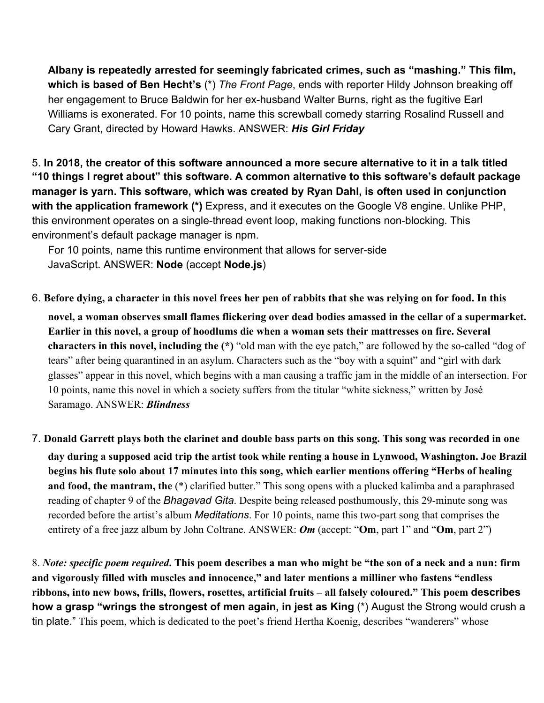**Albany is repeatedly arrested for seemingly fabricated crimes, such as "mashing." This film, which is based of Ben Hecht's** (\*) *The Front Page*, ends with reporter Hildy Johnson breaking off her engagement to Bruce Baldwin for her ex-husband Walter Burns, right as the fugitive Earl Williams is exonerated. For 10 points, name this screwball comedy starring Rosalind Russell and Cary Grant, directed by Howard Hawks. ANSWER: *His Girl Friday*

5. **In 2018, the creator of this software announced a more secure alternative to it in a talk titled "10 things I regret about" this software. A common alternative to this software's default package manager is yarn. This software, which was created by Ryan Dahl, is often used in conjunction** with the application framework (\*) Express, and it executes on the Google V8 engine. Unlike PHP, this environment operates on a single-thread event loop, making functions non-blocking. This environment's default package manager is npm.

For 10 points, name this runtime environment that allows for server-side JavaScript. ANSWER: **Node** (accept **Node.js**)

6. **Before dying, a character in this novel frees her pen of rabbits that she was relying on for food. In this**

**novel, a woman observes small flames flickering over dead bodies amassed in the cellar of a supermarket. Earlier in this novel, a group of hoodlums die when a woman sets their mattresses on fire. Several characters in this novel, including the (\*)** "old man with the eye patch," are followed by the so-called "dog of tears" after being quarantined in an asylum. Characters such as the "boy with a squint" and "girl with dark glasses" appear in this novel, which begins with a man causing a traffic jam in the middle of an intersection. For 10 points, name this novel in which a society suffers from the titular "white sickness," written by José Saramago. ANSWER: *Blindness*

7. **Donald Garrett plays both the clarinet and double bass parts on this song. This song was recorded in one day during a supposed acid trip the artist took while renting a house in Lynwood, Washington. Joe Brazil begins his flute solo about 17 minutes into this song, which earlier mentions offering "Herbs of healing and food, the mantram, the** (\*) clarified butter." This song opens with a plucked kalimba and a paraphrased reading of chapter 9 of the *Bhagavad Gita*. Despite being released posthumously, this 29-minute song was recorded before the artist's album *Meditations*. For 10 points, name this two-part song that comprises the entirety of a free jazz album by John Coltrane. ANSWER: *Om* (accept: "**Om**, part 1" and "**Om**, part 2")

8. *Note: specific poem required***. This poem describes a man who might be "the son of a neck and a nun: firm and vigorously filled with muscles and innocence," and later mentions a milliner who fastens "endless ribbons, into new bows, frills, flowers, rosettes, artificial fruits – all falsely coloured." This poem describes how a grasp "wrings the strongest of men again, in jest as King** (\*) August the Strong would crush a tin plate." This poem, which is dedicated to the poet's friend Hertha Koenig, describes "wanderers" whose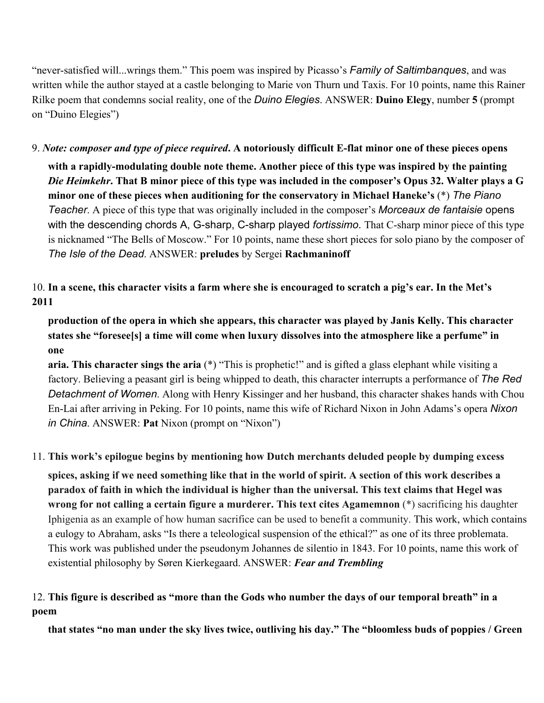"never-satisfied will...wrings them." This poem was inspired by Picasso's *Family of Saltimbanques*, and was written while the author stayed at a castle belonging to Marie von Thurn und Taxis. For 10 points, name this Rainer Rilke poem that condemns social reality, one of the *Duino Elegies*. ANSWER: **Duino Elegy**, number **5** (prompt on "Duino Elegies")

9. *Note: composer and type of piece required***. A notoriously difficult E-flat minor one of these pieces opens with a rapidly-modulating double note theme. Another piece of this type was inspired by the painting** *Die Heimkehr***. That B minor piece of this type was included in the composer's Opus 32. Walter plays a G minor one of these pieces when auditioning for the conservatory in Michael Haneke's** (\*) *The Piano Teacher*. A piece of this type that was originally included in the composer's *Morceaux de fantaisie* opens with the descending chords A, G-sharp, C-sharp played *fortissimo*. That C-sharp minor piece of this type is nicknamed "The Bells of Moscow." For 10 points, name these short pieces for solo piano by the composer of *The Isle of the Dead*. ANSWER: **preludes** by Sergei **Rachmaninoff**

## 10. **In a scene, this character visits a farm where she is encouraged to scratch a pig's ear. In the Met's 2011**

**production of the opera in which she appears, this character was played by Janis Kelly. This character states she "foresee[s] a time will come when luxury dissolves into the atmosphere like a perfume" in one**

**aria. This character sings the aria** (\*) "This is prophetic!" and is gifted a glass elephant while visiting a factory. Believing a peasant girl is being whipped to death, this character interrupts a performance of *The Red Detachment of Women*. Along with Henry Kissinger and her husband, this character shakes hands with Chou En-Lai after arriving in Peking. For 10 points, name this wife of Richard Nixon in John Adams's opera *Nixon in China*. ANSWER: **Pat** Nixon (prompt on "Nixon")

## 11. **This work's epilogue begins by mentioning how Dutch merchants deluded people by dumping excess**

**spices, asking if we need something like that in the world of spirit. A section of this work describes a paradox of faith in which the individual is higher than the universal. This text claims that Hegel was wrong for not calling a certain figure a murderer. This text cites Agamemnon** (\*) sacrificing his daughter Iphigenia as an example of how human sacrifice can be used to benefit a community. This work, which contains a eulogy to Abraham, asks "Is there a teleological suspension of the ethical?" as one of its three problemata. This work was published under the pseudonym Johannes de silentio in 1843. For 10 points, name this work of existential philosophy by Søren Kierkegaard. ANSWER: *Fear and Trembling*

## 12. **This figure is described as "more than the Gods who number the days of our temporal breath" in a poem**

**that states "no man under the sky lives twice, outliving his day." The "bloomless buds of poppies / Green**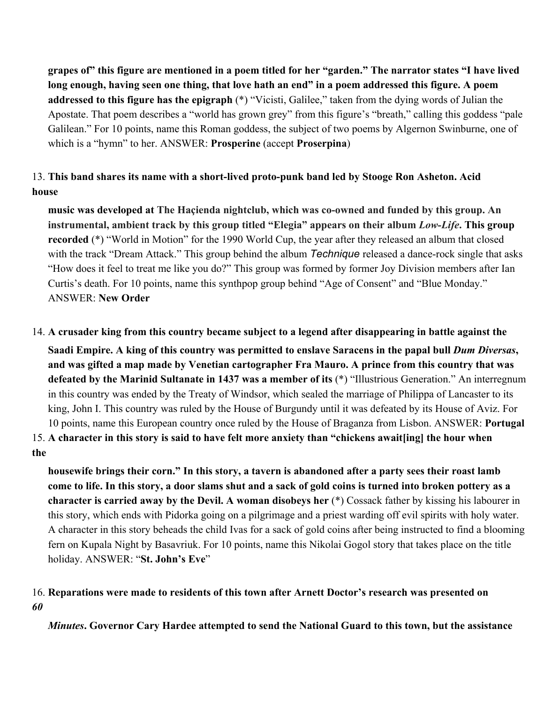**grapes of" this figure are mentioned in a poem titled for her "garden." The narrator states "I have lived long enough, having seen one thing, that love hath an end" in a poem addressed this figure. A poem addressed to this figure has the epigraph** (\*) "Vicisti, Galilee," taken from the dying words of Julian the Apostate. That poem describes a "world has grown grey" from this figure's "breath," calling this goddess "pale Galilean." For 10 points, name this Roman goddess, the subject of two poems by Algernon Swinburne, one of which is a "hymn" to her. ANSWER: **Prosperine** (accept **Proserpina**)

## 13. **This band shares its name with a short-lived proto-punk band led by Stooge Ron Asheton. Acid house**

**music was developed at The Haçienda nightclub, which was co-owned and funded by this group. An instrumental, ambient track by this group titled "Elegia" appears on their album** *Low-Life***. This group recorded** (\*) "World in Motion" for the 1990 World Cup, the year after they released an album that closed with the track "Dream Attack." This group behind the album *Technique* released a dance-rock single that asks "How does it feel to treat me like you do?" This group was formed by former Joy Division members after Ian Curtis's death. For 10 points, name this synthpop group behind "Age of Consent" and "Blue Monday." ANSWER: **New Order**

14. **A crusader king from this country became subject to a legend after disappearing in battle against the Saadi Empire. A king of this country was permitted to enslave Saracens in the papal bull** *Dum Diversas***, and was gifted a map made by Venetian cartographer Fra Mauro. A prince from this country that was defeated by the Marinid Sultanate in 1437 was a member of its** (\*) "Illustrious Generation." An interregnum in this country was ended by the Treaty of Windsor, which sealed the marriage of Philippa of Lancaster to its king, John I. This country was ruled by the House of Burgundy until it was defeated by its House of Aviz. For 10 points, name this European country once ruled by the House of Braganza from Lisbon. ANSWER: **Portugal** 15. **A character in this story is said to have felt more anxiety than "chickens await[ing] the hour when the**

**housewife brings their corn." In this story, a tavern is abandoned after a party sees their roast lamb come to life. In this story, a door slams shut and a sack of gold coins is turned into broken pottery as a character is carried away by the Devil. A woman disobeys her** (\*) Cossack father by kissing his labourer in this story, which ends with Pidorka going on a pilgrimage and a priest warding off evil spirits with holy water. A character in this story beheads the child Ivas for a sack of gold coins after being instructed to find a blooming fern on Kupala Night by Basavriuk. For 10 points, name this Nikolai Gogol story that takes place on the title holiday. ANSWER: "**St. John's Eve**"

## 16. **Reparations were made to residents of this town after Arnett Doctor's research was presented on** *60*

*Minutes***. Governor Cary Hardee attempted to send the National Guard to this town, but the assistance**